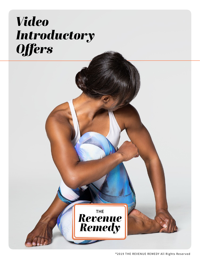# *Video Introductory Offers*



#### ®2019 THE REVENUE REMEDY All Rights Reserved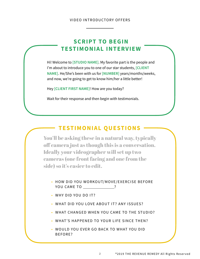You'll be asking these in a natural way, typically off camera just as though this is a conversation. Ideally your videographer will set up two cameras (one front facing and one from the side) so it's easier to edit.

- HOW DID YOU WORKOUT/MOVE/EXERCISE BEFORE YOU CAME TO ?
- WHY DID YOU DO IT?

- WHAT DID YOU LOVE ABOUT IT? ANY ISSUES?
- WHAT CHANGED WHEN YOU CAME TO THE STUDIO?
- WHAT'S HAPPENED TO YOUR LIFE SINCE THEN?
- WOULD YOU EVER GO BACK TO WHAT YOU DID BEFORE?

#### VIDEO INTRODUCTORY OFFERS

Hi! Welcome to **[STUDIO NAME]**. My favorite part is the people and I'm about to introduce you to one of our star students, **[CLIENT NAME]**. He/She's been with us for **[NUMBER]** years/months/weeks, and now, we're going to get to know him/her a little better!

Hey **[CLIENT FIRST NAME]**! How are you today?

Wait for their response and then begin with testimonials.

## **TESTIMONIAL QUESTIONS**

# **SCRIPT TO BEGIN TESTIMONIAL INTERVIEW**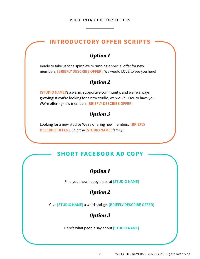## **INTRODUCTORY OFFER SCRIPTS**

# *Option 1*

Find your new happy place at **[STUDIO NAME]** 

# *Option 2*



3 ®2019 THE REVENUE REMEDY All Rights Reserved

# **SHORT FACEBOOK AD COPY**

## *Option 1*

Ready to take us for a spin? We're running a special offer for new members, **[BRIEFLY DESCRIBE OFFER]**. We would LOVE to see you here!

#### *Option 2*

**[STUDIO NAME]**'s a warm, supportive community, and we're always growing! If you're looking for a new studio, we would LOVE to have you. We're offering new members **[BRIEFLY DESCRIBE OFFER]** 

#### *Option 3*

Looking for a new studio? We're offering new members **[BRIEFLY DESCRIBE OFFER]**. Join the **[STUDIO NAME]** family!